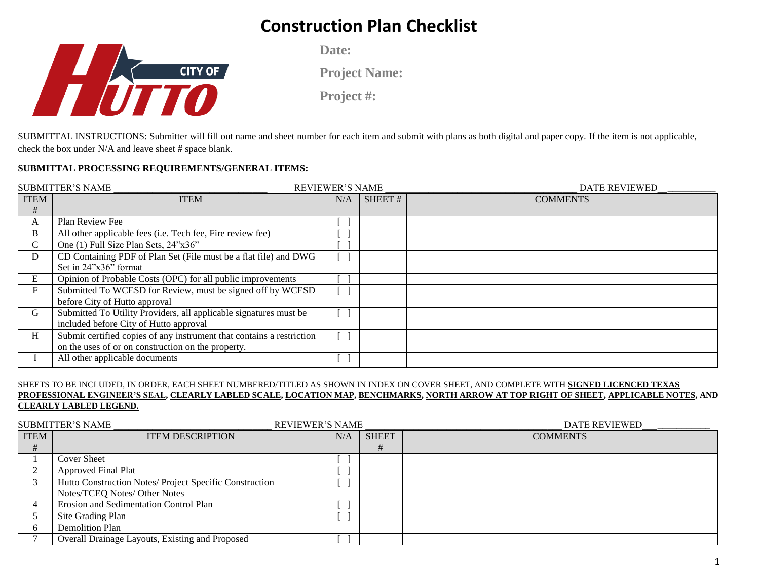

**Date:**

**Project Name:**

**Project #:** 

SUBMITTAL INSTRUCTIONS: Submitter will fill out name and sheet number for each item and submit with plans as both digital and paper copy. If the item is not applicable, check the box under N/A and leave sheet # space blank.

#### **SUBMITTAL PROCESSING REQUIREMENTS/GENERAL ITEMS:**

|             | <b>SUBMITTER'S NAME</b><br><b>REVIEWER'S NAME</b>                     |     |        | <b>DATE REVIEWED</b> |
|-------------|-----------------------------------------------------------------------|-----|--------|----------------------|
| <b>ITEM</b> | <b>ITEM</b>                                                           | N/A | SHEET# | <b>COMMENTS</b>      |
| #           |                                                                       |     |        |                      |
| A           | Plan Review Fee                                                       |     |        |                      |
| B           | All other applicable fees (i.e. Tech fee, Fire review fee)            |     |        |                      |
| C.          | One (1) Full Size Plan Sets, 24"x36"                                  |     |        |                      |
| D           | CD Containing PDF of Plan Set (File must be a flat file) and DWG      |     |        |                      |
|             | Set in 24"x36" format                                                 |     |        |                      |
| E           | Opinion of Probable Costs (OPC) for all public improvements           |     |        |                      |
| F           | Submitted To WCESD for Review, must be signed off by WCESD            |     |        |                      |
|             | before City of Hutto approval                                         |     |        |                      |
| G           | Submitted To Utility Providers, all applicable signatures must be     |     |        |                      |
|             | included before City of Hutto approval                                |     |        |                      |
| H           | Submit certified copies of any instrument that contains a restriction |     |        |                      |
|             | on the uses of or on construction on the property.                    |     |        |                      |
|             | All other applicable documents                                        |     |        |                      |

#### SHEETS TO BE INCLUDED, IN ORDER, EACH SHEET NUMBERED/TITLED AS SHOWN IN INDEX ON COVER SHEET, AND COMPLETE WITH **SIGNED LICENCED TEXAS PROFESSIONAL ENGINEER'S SEAL, CLEARLY LABLED SCALE, LOCATION MAP, BENCHMARKS, NORTH ARROW AT TOP RIGHT OF SHEET, APPLICABLE NOTES, AND CLEARLY LABLED LEGEND.**

|             | <b>SUBMITTER'S NAME</b><br><b>REVIEWER'S NAME</b>       |     |              | <b>DATE REVIEWED</b> |
|-------------|---------------------------------------------------------|-----|--------------|----------------------|
| <b>ITEM</b> | <b>ITEM DESCRIPTION</b>                                 | N/A | <b>SHEET</b> | <b>COMMENTS</b>      |
| Ħ           |                                                         |     | #            |                      |
|             | Cover Sheet                                             |     |              |                      |
|             | <b>Approved Final Plat</b>                              |     |              |                      |
|             | Hutto Construction Notes/ Project Specific Construction |     |              |                      |
|             | Notes/TCEQ Notes/ Other Notes                           |     |              |                      |
|             | Erosion and Sedimentation Control Plan                  |     |              |                      |
|             | Site Grading Plan                                       |     |              |                      |
|             | <b>Demolition Plan</b>                                  |     |              |                      |
|             | Overall Drainage Layouts, Existing and Proposed         |     |              |                      |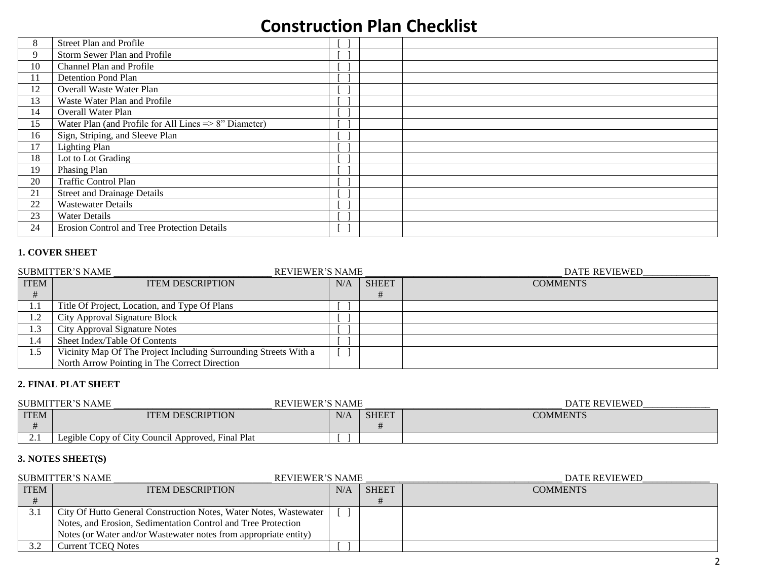| 8  | Street Plan and Profile                                          |     |
|----|------------------------------------------------------------------|-----|
| 9  | Storm Sewer Plan and Profile                                     |     |
| 10 | Channel Plan and Profile                                         |     |
| 11 | Detention Pond Plan                                              |     |
| 12 | Overall Waste Water Plan                                         |     |
| 13 | Waste Water Plan and Profile                                     |     |
| 14 | Overall Water Plan                                               |     |
| 15 | Water Plan (and Profile for All Lines $\Rightarrow$ 8" Diameter) |     |
| 16 | Sign, Striping, and Sleeve Plan                                  |     |
| 17 | <b>Lighting Plan</b>                                             |     |
| 18 | Lot to Lot Grading                                               |     |
| 19 | Phasing Plan                                                     |     |
| 20 | Traffic Control Plan                                             |     |
| 21 | <b>Street and Drainage Details</b>                               |     |
| 22 | <b>Wastewater Details</b>                                        |     |
| 23 | <b>Water Details</b>                                             |     |
| 24 | Erosion Control and Tree Protection Details                      | t J |

### **1. COVER SHEET**

|             | <b>SUBMITTER'S NAME</b><br><b>REVIEWER'S NAME</b>                |     |              | <b>DATE REVIEWED</b> |
|-------------|------------------------------------------------------------------|-----|--------------|----------------------|
| <b>ITEM</b> | <b>ITEM DESCRIPTION</b>                                          | N/A | <b>SHEET</b> | <b>COMMENTS</b>      |
|             |                                                                  |     |              |                      |
| 1.1         | Title Of Project, Location, and Type Of Plans                    |     |              |                      |
| 1.2         | City Approval Signature Block                                    |     |              |                      |
| 1.3         | City Approval Signature Notes                                    |     |              |                      |
| 1.4         | Sheet Index/Table Of Contents                                    |     |              |                      |
| 1.5         | Vicinity Map Of The Project Including Surrounding Streets With a |     |              |                      |
|             | North Arrow Pointing in The Correct Direction                    |     |              |                      |

### **2. FINAL PLAT SHEET**

|              | <b>SUBMITTER'S NAME</b><br><b>REVIEWER'S NAME</b> |     |              | <b>DATE REVIEWED</b> |
|--------------|---------------------------------------------------|-----|--------------|----------------------|
| <b>ITEM</b>  | <b>ITEM DESCRIPTION</b>                           | N/A | <b>SHEET</b> | <b>COMMENTS</b>      |
|              |                                                   |     |              |                      |
| <u> 4. l</u> | Legible Copy of City Council Approved, Final Plat |     |              |                      |

## **3. NOTES SHEET(S)**

|             | <b>REVIEWER'S NAME</b><br><b>SUBMITTER'S NAME</b>                 |     |              | <b>DATE REVIEWED</b> |
|-------------|-------------------------------------------------------------------|-----|--------------|----------------------|
| <b>ITEM</b> | <b>ITEM DESCRIPTION</b>                                           | N/A | <b>SHEET</b> | <b>COMMENTS</b>      |
|             |                                                                   |     |              |                      |
| 3.1         | City Of Hutto General Construction Notes, Water Notes, Wastewater |     |              |                      |
|             | Notes, and Erosion, Sedimentation Control and Tree Protection     |     |              |                      |
|             | Notes (or Water and/or Wastewater notes from appropriate entity)  |     |              |                      |
| 3.2         | Current TCEO Notes                                                |     |              |                      |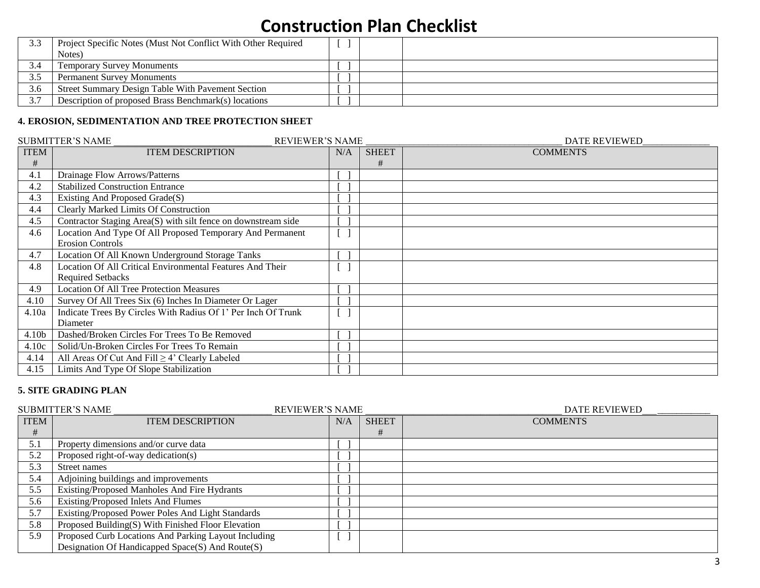|     | Project Specific Notes (Must Not Conflict With Other Required<br>Notes) |  |  |
|-----|-------------------------------------------------------------------------|--|--|
|     |                                                                         |  |  |
|     | <b>Temporary Survey Monuments</b>                                       |  |  |
|     | <b>Permanent Survey Monuments</b>                                       |  |  |
| 3.6 | Street Summary Design Table With Pavement Section                       |  |  |
| 37  | Description of proposed Brass Benchmark(s) locations                    |  |  |

## **4. EROSION, SEDIMENTATION AND TREE PROTECTION SHEET**

|             | <b>SUBMITTER'S NAME</b><br><b>REVIEWER'S NAME</b>             |     |              | <b>DATE REVIEWED</b> |
|-------------|---------------------------------------------------------------|-----|--------------|----------------------|
| <b>ITEM</b> | <b>ITEM DESCRIPTION</b>                                       | N/A | <b>SHEET</b> | <b>COMMENTS</b>      |
| #           |                                                               |     | #            |                      |
| 4.1         | Drainage Flow Arrows/Patterns                                 |     |              |                      |
| 4.2         | <b>Stabilized Construction Entrance</b>                       |     |              |                      |
| 4.3         | Existing And Proposed Grade(S)                                |     |              |                      |
| 4.4         | <b>Clearly Marked Limits Of Construction</b>                  |     |              |                      |
| 4.5         | Contractor Staging Area(S) with silt fence on downstream side |     |              |                      |
| 4.6         | Location And Type Of All Proposed Temporary And Permanent     |     |              |                      |
|             | <b>Erosion Controls</b>                                       |     |              |                      |
| 4.7         | Location Of All Known Underground Storage Tanks               |     |              |                      |
| 4.8         | Location Of All Critical Environmental Features And Their     |     |              |                      |
|             | <b>Required Setbacks</b>                                      |     |              |                      |
| 4.9         | <b>Location Of All Tree Protection Measures</b>               |     |              |                      |
| 4.10        | Survey Of All Trees Six (6) Inches In Diameter Or Lager       |     |              |                      |
| 4.10a       | Indicate Trees By Circles With Radius Of 1' Per Inch Of Trunk |     |              |                      |
|             | Diameter                                                      |     |              |                      |
| 4.10b       | Dashed/Broken Circles For Trees To Be Removed                 |     |              |                      |
| 4.10c       | Solid/Un-Broken Circles For Trees To Remain                   |     |              |                      |
| 4.14        | All Areas Of Cut And Fill $\geq$ 4' Clearly Labeled           |     |              |                      |
| 4.15        | Limits And Type Of Slope Stabilization                        |     |              |                      |

### **5. SITE GRADING PLAN**

|             | <b>SUBMITTER'S NAME</b><br><b>REVIEWER'S NAME</b>    |     |              | <b>DATE REVIEWED</b> |
|-------------|------------------------------------------------------|-----|--------------|----------------------|
| <b>ITEM</b> | <b>ITEM DESCRIPTION</b>                              | N/A | <b>SHEET</b> | <b>COMMENTS</b>      |
| #           |                                                      |     | #            |                      |
| 5.1         | Property dimensions and/or curve data                |     |              |                      |
| 5.2         | Proposed right-of-way dedication(s)                  |     |              |                      |
| 5.3         | Street names                                         |     |              |                      |
| 5.4         | Adjoining buildings and improvements                 |     |              |                      |
| 5.5         | Existing/Proposed Manholes And Fire Hydrants         |     |              |                      |
| 5.6         | Existing/Proposed Inlets And Flumes                  |     |              |                      |
| 5.7         | Existing/Proposed Power Poles And Light Standards    |     |              |                      |
| 5.8         | Proposed Building(S) With Finished Floor Elevation   |     |              |                      |
| 5.9         | Proposed Curb Locations And Parking Layout Including |     |              |                      |
|             | Designation Of Handicapped Space(S) And Route(S)     |     |              |                      |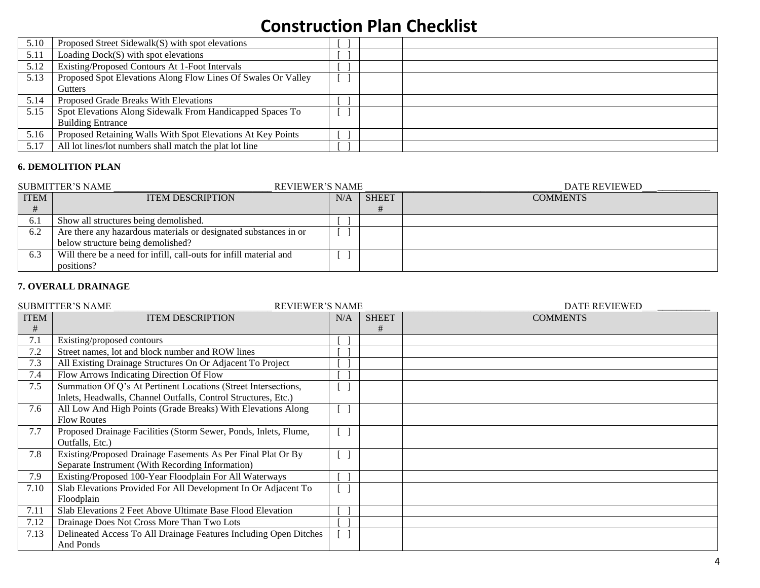| 5.10 | Proposed Street Sidewalk(S) with spot elevations              |  |
|------|---------------------------------------------------------------|--|
| 5.11 | Loading $Dock(S)$ with spot elevations                        |  |
| 5.12 | Existing/Proposed Contours At 1-Foot Intervals                |  |
| 5.13 | Proposed Spot Elevations Along Flow Lines Of Swales Or Valley |  |
|      | <b>Gutters</b>                                                |  |
| 5.14 | Proposed Grade Breaks With Elevations                         |  |
| 5.15 | Spot Elevations Along Sidewalk From Handicapped Spaces To     |  |
|      | <b>Building Entrance</b>                                      |  |
| 5.16 | Proposed Retaining Walls With Spot Elevations At Key Points   |  |
| 5.17 | All lot lines/lot numbers shall match the plat lot line       |  |

### **6. DEMOLITION PLAN**

|             | <b>SUBMITTER'S NAME</b><br><b>REVIEWER'S NAME</b>                  |     |              | DATE REVIEWED   |
|-------------|--------------------------------------------------------------------|-----|--------------|-----------------|
| <b>ITEM</b> | <b>ITEM DESCRIPTION</b>                                            | N/A | <b>SHEET</b> | <b>COMMENTS</b> |
|             |                                                                    |     |              |                 |
| 6.1         | Show all structures being demolished.                              |     |              |                 |
| 6.2         | Are there any hazardous materials or designated substances in or   |     |              |                 |
|             | below structure being demolished?                                  |     |              |                 |
| 6.3         | Will there be a need for infill, call-outs for infill material and |     |              |                 |
|             | positions?                                                         |     |              |                 |

### **7. OVERALL DRAINAGE**

|             | <b>SUBMITTER'S NAME</b><br><b>REVIEWER'S NAME</b>                 |     |              | <b>DATE REVIEWED</b> |
|-------------|-------------------------------------------------------------------|-----|--------------|----------------------|
| <b>ITEM</b> | <b>ITEM DESCRIPTION</b>                                           | N/A | <b>SHEET</b> | <b>COMMENTS</b>      |
| #           |                                                                   |     | #            |                      |
| 7.1         | Existing/proposed contours                                        |     |              |                      |
| 7.2         | Street names, lot and block number and ROW lines                  |     |              |                      |
| 7.3         | All Existing Drainage Structures On Or Adjacent To Project        |     |              |                      |
| 7.4         | Flow Arrows Indicating Direction Of Flow                          |     |              |                      |
| 7.5         | Summation Of Q's At Pertinent Locations (Street Intersections,    |     |              |                      |
|             | Inlets, Headwalls, Channel Outfalls, Control Structures, Etc.)    |     |              |                      |
| 7.6         | All Low And High Points (Grade Breaks) With Elevations Along      |     |              |                      |
|             | <b>Flow Routes</b>                                                |     |              |                      |
| 7.7         | Proposed Drainage Facilities (Storm Sewer, Ponds, Inlets, Flume,  |     |              |                      |
|             | Outfalls, Etc.)                                                   |     |              |                      |
| 7.8         | Existing/Proposed Drainage Easements As Per Final Plat Or By      |     |              |                      |
|             | Separate Instrument (With Recording Information)                  |     |              |                      |
| 7.9         | Existing/Proposed 100-Year Floodplain For All Waterways           |     |              |                      |
| 7.10        | Slab Elevations Provided For All Development In Or Adjacent To    |     |              |                      |
|             | Floodplain                                                        |     |              |                      |
| 7.11        | Slab Elevations 2 Feet Above Ultimate Base Flood Elevation        |     |              |                      |
| 7.12        | Drainage Does Not Cross More Than Two Lots                        |     |              |                      |
| 7.13        | Delineated Access To All Drainage Features Including Open Ditches |     |              |                      |
|             | And Ponds                                                         |     |              |                      |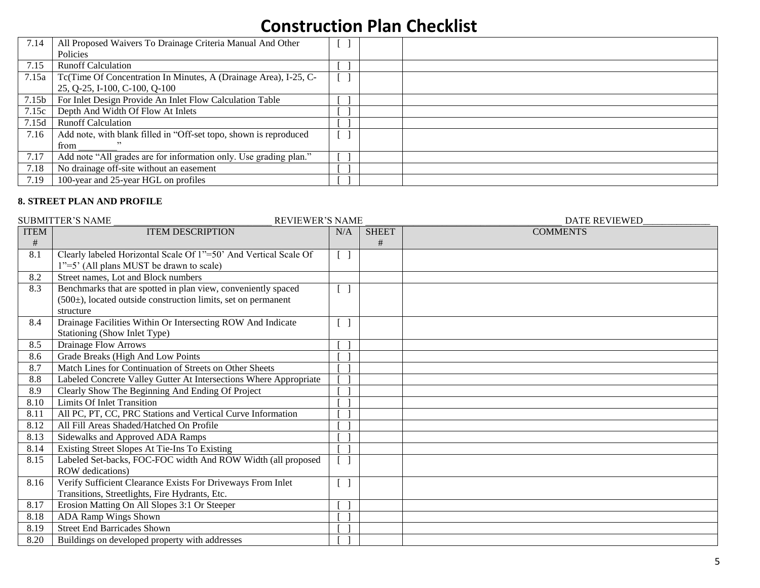| 7.14  | All Proposed Waivers To Drainage Criteria Manual And Other        |  |  |
|-------|-------------------------------------------------------------------|--|--|
|       | <b>Policies</b>                                                   |  |  |
| 7.15  | <b>Runoff Calculation</b>                                         |  |  |
| 7.15a | Tc(Time Of Concentration In Minutes, A (Drainage Area), I-25, C-  |  |  |
|       | 25, Q-25, I-100, C-100, Q-100                                     |  |  |
| 7.15b | For Inlet Design Provide An Inlet Flow Calculation Table          |  |  |
| 7.15c | Depth And Width Of Flow At Inlets                                 |  |  |
| 7.15d | <b>Runoff Calculation</b>                                         |  |  |
| 7.16  | Add note, with blank filled in "Off-set topo, shown is reproduced |  |  |
|       | from                                                              |  |  |
| 7.17  | Add note "All grades are for information only. Use grading plan." |  |  |
| 7.18  | No drainage off-site without an easement                          |  |  |
| 7.19  | 100-year and 25-year HGL on profiles                              |  |  |

#### **8. STREET PLAN AND PROFILE**

|             | <b>SUBMITTER'S NAME</b><br><b>REVIEWER'S NAME</b>                 |                                 |              | <b>DATE REVIEWED</b> |
|-------------|-------------------------------------------------------------------|---------------------------------|--------------|----------------------|
| <b>ITEM</b> | <b>ITEM DESCRIPTION</b>                                           | N/A                             | <b>SHEET</b> | <b>COMMENTS</b>      |
| $\#$        |                                                                   |                                 | #            |                      |
| 8.1         | Clearly labeled Horizontal Scale Of 1"=50' And Vertical Scale Of  | $\begin{bmatrix} \end{bmatrix}$ |              |                      |
|             | 1"=5" (All plans MUST be drawn to scale)                          |                                 |              |                      |
| 8.2         | Street names, Lot and Block numbers                               |                                 |              |                      |
| 8.3         | Benchmarks that are spotted in plan view, conveniently spaced     | $[\ ]$                          |              |                      |
|             | $(500±)$ , located outside construction limits, set on permanent  |                                 |              |                      |
|             | structure                                                         |                                 |              |                      |
| 8.4         | Drainage Facilities Within Or Intersecting ROW And Indicate       | $\Box$                          |              |                      |
|             | Stationing (Show Inlet Type)                                      |                                 |              |                      |
| 8.5         | <b>Drainage Flow Arrows</b>                                       |                                 |              |                      |
| 8.6         | Grade Breaks (High And Low Points                                 |                                 |              |                      |
| 8.7         | Match Lines for Continuation of Streets on Other Sheets           |                                 |              |                      |
| 8.8         | Labeled Concrete Valley Gutter At Intersections Where Appropriate |                                 |              |                      |
| 8.9         | Clearly Show The Beginning And Ending Of Project                  |                                 |              |                      |
| 8.10        | <b>Limits Of Inlet Transition</b>                                 |                                 |              |                      |
| 8.11        | All PC, PT, CC, PRC Stations and Vertical Curve Information       |                                 |              |                      |
| 8.12        | All Fill Areas Shaded/Hatched On Profile                          |                                 |              |                      |
| 8.13        | Sidewalks and Approved ADA Ramps                                  |                                 |              |                      |
| 8.14        | Existing Street Slopes At Tie-Ins To Existing                     |                                 |              |                      |
| 8.15        | Labeled Set-backs, FOC-FOC width And ROW Width (all proposed      |                                 |              |                      |
|             | ROW dedications)                                                  |                                 |              |                      |
| 8.16        | Verify Sufficient Clearance Exists For Driveways From Inlet       |                                 |              |                      |
|             | Transitions, Streetlights, Fire Hydrants, Etc.                    |                                 |              |                      |
| 8.17        | Erosion Matting On All Slopes 3:1 Or Steeper                      |                                 |              |                      |
| 8.18        | ADA Ramp Wings Shown                                              |                                 |              |                      |
| 8.19        | <b>Street End Barricades Shown</b>                                |                                 |              |                      |
| 8.20        | Buildings on developed property with addresses                    |                                 |              |                      |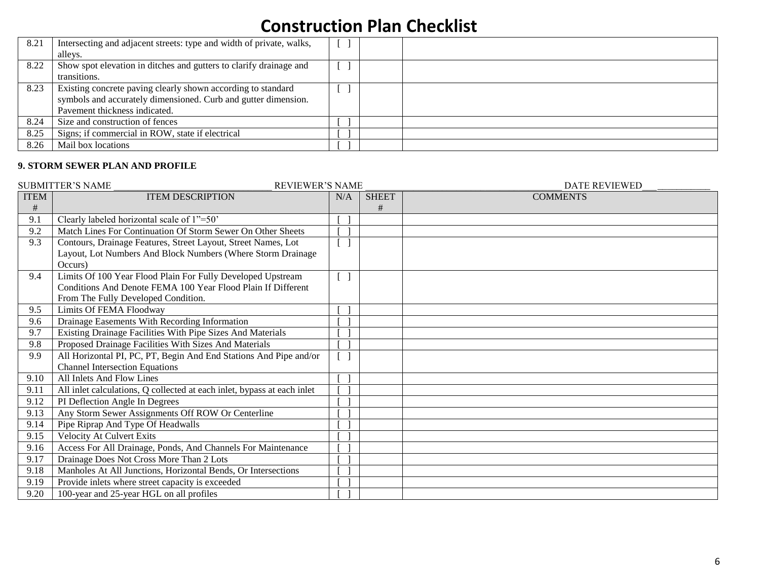| 8.21 | Intersecting and adjacent streets: type and width of private, walks,<br>alleys.                                                                                 |  |  |
|------|-----------------------------------------------------------------------------------------------------------------------------------------------------------------|--|--|
| 8.22 | Show spot elevation in ditches and gutters to clarify drainage and<br>transitions.                                                                              |  |  |
| 8.23 | Existing concrete paving clearly shown according to standard<br>symbols and accurately dimensioned. Curb and gutter dimension.<br>Pavement thickness indicated. |  |  |
| 8.24 | Size and construction of fences                                                                                                                                 |  |  |
| 8.25 | Signs; if commercial in ROW, state if electrical                                                                                                                |  |  |
| 8.26 | Mail box locations                                                                                                                                              |  |  |

### **9. STORM SEWER PLAN AND PROFILE**

|             | <b>SUBMITTER'S NAME</b><br><b>REVIEWER'S NAME</b>                       |        |              | <b>DATE REVIEWED</b> |
|-------------|-------------------------------------------------------------------------|--------|--------------|----------------------|
| <b>ITEM</b> | <b>ITEM DESCRIPTION</b>                                                 | N/A    | <b>SHEET</b> | <b>COMMENTS</b>      |
| $\#$        |                                                                         |        | #            |                      |
| 9.1         | Clearly labeled horizontal scale of 1"=50"                              |        |              |                      |
| 9.2         | Match Lines For Continuation Of Storm Sewer On Other Sheets             |        |              |                      |
| 9.3         | Contours, Drainage Features, Street Layout, Street Names, Lot           |        |              |                      |
|             | Layout, Lot Numbers And Block Numbers (Where Storm Drainage             |        |              |                      |
|             | Occurs)                                                                 |        |              |                      |
| 9.4         | Limits Of 100 Year Flood Plain For Fully Developed Upstream             | $[\ ]$ |              |                      |
|             | Conditions And Denote FEMA 100 Year Flood Plain If Different            |        |              |                      |
|             | From The Fully Developed Condition.                                     |        |              |                      |
| 9.5         | Limits Of FEMA Floodway                                                 |        |              |                      |
| 9.6         | Drainage Easements With Recording Information                           |        |              |                      |
| 9.7         | Existing Drainage Facilities With Pipe Sizes And Materials              |        |              |                      |
| 9.8         | Proposed Drainage Facilities With Sizes And Materials                   |        |              |                      |
| 9.9         | All Horizontal PI, PC, PT, Begin And End Stations And Pipe and/or       |        |              |                      |
|             | <b>Channel Intersection Equations</b>                                   |        |              |                      |
| 9.10        | All Inlets And Flow Lines                                               |        |              |                      |
| 9.11        | All inlet calculations, Q collected at each inlet, bypass at each inlet |        |              |                      |
| 9.12        | PI Deflection Angle In Degrees                                          |        |              |                      |
| 9.13        | Any Storm Sewer Assignments Off ROW Or Centerline                       |        |              |                      |
| 9.14        | Pipe Riprap And Type Of Headwalls                                       |        |              |                      |
| 9.15        | <b>Velocity At Culvert Exits</b>                                        |        |              |                      |
| 9.16        | Access For All Drainage, Ponds, And Channels For Maintenance            |        |              |                      |
| 9.17        | Drainage Does Not Cross More Than 2 Lots                                |        |              |                      |
| 9.18        | Manholes At All Junctions, Horizontal Bends, Or Intersections           |        |              |                      |
| 9.19        | Provide inlets where street capacity is exceeded                        |        |              |                      |
| 9.20        | 100-year and 25-year HGL on all profiles                                |        |              |                      |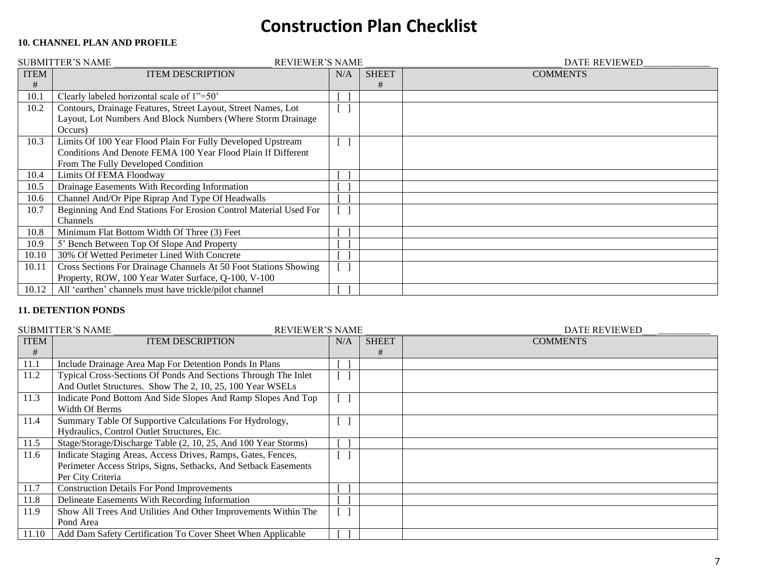## **10. CHANNEL PLAN AND PROFILE**

|             | <b>SUBMITTER'S NAME</b><br><b>REVIEWER'S NAME</b>                |                |              | DATE REVIEWED   |
|-------------|------------------------------------------------------------------|----------------|--------------|-----------------|
| <b>ITEM</b> | <b>ITEM DESCRIPTION</b>                                          | N/A            | <b>SHEET</b> | <b>COMMENTS</b> |
| #           |                                                                  |                | #            |                 |
| 10.1        | Clearly labeled horizontal scale of 1"=50"                       |                |              |                 |
| 10.2        | Contours, Drainage Features, Street Layout, Street Names, Lot    | $\blacksquare$ |              |                 |
|             | Layout, Lot Numbers And Block Numbers (Where Storm Drainage      |                |              |                 |
|             | Occurs)                                                          |                |              |                 |
| 10.3        | Limits Of 100 Year Flood Plain For Fully Developed Upstream      |                |              |                 |
|             | Conditions And Denote FEMA 100 Year Flood Plain If Different     |                |              |                 |
|             | From The Fully Developed Condition                               |                |              |                 |
| 10.4        | <b>Limits Of FEMA Floodway</b>                                   |                |              |                 |
| 10.5        | Drainage Easements With Recording Information                    |                |              |                 |
| 10.6        | Channel And/Or Pipe Riprap And Type Of Headwalls                 |                |              |                 |
| 10.7        | Beginning And End Stations For Erosion Control Material Used For |                |              |                 |
|             | Channels                                                         |                |              |                 |
| 10.8        | Minimum Flat Bottom Width Of Three (3) Feet                      |                |              |                 |
| 10.9        | 5' Bench Between Top Of Slope And Property                       |                |              |                 |
| 10.10       | 30% Of Wetted Perimeter Lined With Concrete                      |                |              |                 |
| 10.11       | Cross Sections For Drainage Channels At 50 Foot Stations Showing |                |              |                 |
|             | Property, ROW, 100 Year Water Surface, Q-100, V-100              |                |              |                 |
| 10.12       | All 'earthen' channels must have trickle/pilot channel           |                |              |                 |

### **11. DETENTION PONDS**

|             | <b>SUBMITTER'S NAME</b><br><b>REVIEWER'S NAME</b>               |     |              | <b>DATE REVIEWED</b> |
|-------------|-----------------------------------------------------------------|-----|--------------|----------------------|
| <b>ITEM</b> | <b>ITEM DESCRIPTION</b>                                         | N/A | <b>SHEET</b> | <b>COMMENTS</b>      |
| #           |                                                                 |     | #            |                      |
| 11.1        | Include Drainage Area Map For Detention Ponds In Plans          |     |              |                      |
| 11.2        | Typical Cross-Sections Of Ponds And Sections Through The Inlet  |     |              |                      |
|             | And Outlet Structures. Show The 2, 10, 25, 100 Year WSELs       |     |              |                      |
| 11.3        | Indicate Pond Bottom And Side Slopes And Ramp Slopes And Top    |     |              |                      |
|             | Width Of Berms                                                  |     |              |                      |
| 11.4        | Summary Table Of Supportive Calculations For Hydrology,         |     |              |                      |
|             | Hydraulics, Control Outlet Structures, Etc.                     |     |              |                      |
| 11.5        | Stage/Storage/Discharge Table (2, 10, 25, And 100 Year Storms)  |     |              |                      |
| 11.6        | Indicate Staging Areas, Access Drives, Ramps, Gates, Fences,    |     |              |                      |
|             | Perimeter Access Strips, Signs, Setbacks, And Setback Easements |     |              |                      |
|             | Per City Criteria                                               |     |              |                      |
| 11.7        | <b>Construction Details For Pond Improvements</b>               |     |              |                      |
| 11.8        | Delineate Easements With Recording Information                  |     |              |                      |
| 11.9        | Show All Trees And Utilities And Other Improvements Within The  |     |              |                      |
|             | Pond Area                                                       |     |              |                      |
| 11.10       | Add Dam Safety Certification To Cover Sheet When Applicable     |     |              |                      |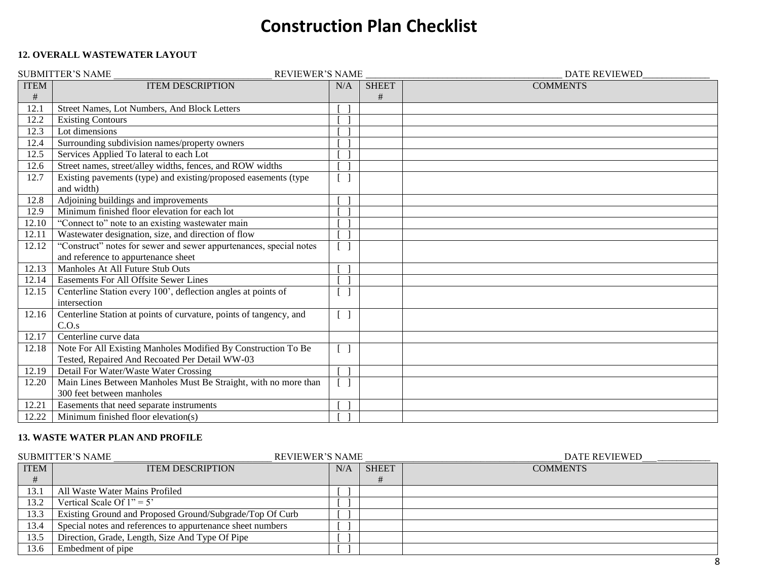### **12. OVERALL WASTEWATER LAYOUT**

|             | <b>SUBMITTER'S NAME</b><br><b>REVIEWER'S NAME</b>                  |        |              | <b>DATE REVIEWED</b> |
|-------------|--------------------------------------------------------------------|--------|--------------|----------------------|
| <b>ITEM</b> | <b>ITEM DESCRIPTION</b>                                            | N/A    | <b>SHEET</b> | <b>COMMENTS</b>      |
| #           |                                                                    |        | #            |                      |
| 12.1        | Street Names, Lot Numbers, And Block Letters                       |        |              |                      |
| 12.2        | <b>Existing Contours</b>                                           |        |              |                      |
| 12.3        | Lot dimensions                                                     |        |              |                      |
| 12.4        | Surrounding subdivision names/property owners                      |        |              |                      |
| 12.5        | Services Applied To lateral to each Lot                            |        |              |                      |
| 12.6        | Street names, street/alley widths, fences, and ROW widths          |        |              |                      |
| 12.7        | Existing pavements (type) and existing/proposed easements (type    |        |              |                      |
|             | and width)                                                         |        |              |                      |
| 12.8        | Adjoining buildings and improvements                               |        |              |                      |
| 12.9        | Minimum finished floor elevation for each lot                      |        |              |                      |
| 12.10       | "Connect to" note to an existing wastewater main                   |        |              |                      |
| 12.11       | Wastewater designation, size, and direction of flow                |        |              |                      |
| 12.12       | "Construct" notes for sewer and sewer appurtenances, special notes |        |              |                      |
|             | and reference to appurtenance sheet                                |        |              |                      |
| 12.13       | Manholes At All Future Stub Outs                                   |        |              |                      |
| 12.14       | Easements For All Offsite Sewer Lines                              |        |              |                      |
| 12.15       | Centerline Station every 100', deflection angles at points of      |        |              |                      |
|             | intersection                                                       |        |              |                      |
| 12.16       | Centerline Station at points of curvature, points of tangency, and | $[\ ]$ |              |                      |
|             | C.O.s                                                              |        |              |                      |
| 12.17       | Centerline curve data                                              |        |              |                      |
| 12.18       | Note For All Existing Manholes Modified By Construction To Be      | $[\ ]$ |              |                      |
|             | Tested, Repaired And Recoated Per Detail WW-03                     |        |              |                      |
| 12.19       | Detail For Water/Waste Water Crossing                              |        |              |                      |
| 12.20       | Main Lines Between Manholes Must Be Straight, with no more than    |        |              |                      |
|             | 300 feet between manholes                                          |        |              |                      |
| 12.21       | Easements that need separate instruments                           |        |              |                      |
| 12.22       | Minimum finished floor elevation(s)                                |        |              |                      |

### **13. WASTE WATER PLAN AND PROFILE**

|             | <b>REVIEWER'S NAME</b><br><b>SUBMITTER'S NAME</b>          |     |              | DATE REVIEWED   |
|-------------|------------------------------------------------------------|-----|--------------|-----------------|
| <b>ITEM</b> | <b>ITEM DESCRIPTION</b>                                    | N/A | <b>SHEET</b> | <b>COMMENTS</b> |
| #           |                                                            |     |              |                 |
| 13.1        | All Waste Water Mains Profiled                             |     |              |                 |
| 13.2        | Vertical Scale Of $1" = 5'$                                |     |              |                 |
| 13.3        | Existing Ground and Proposed Ground/Subgrade/Top Of Curb   |     |              |                 |
| 13.4        | Special notes and references to appurtenance sheet numbers |     |              |                 |
| 13.5        | Direction, Grade, Length, Size And Type Of Pipe            |     |              |                 |
| 13.6        | Embedment of pipe                                          |     |              |                 |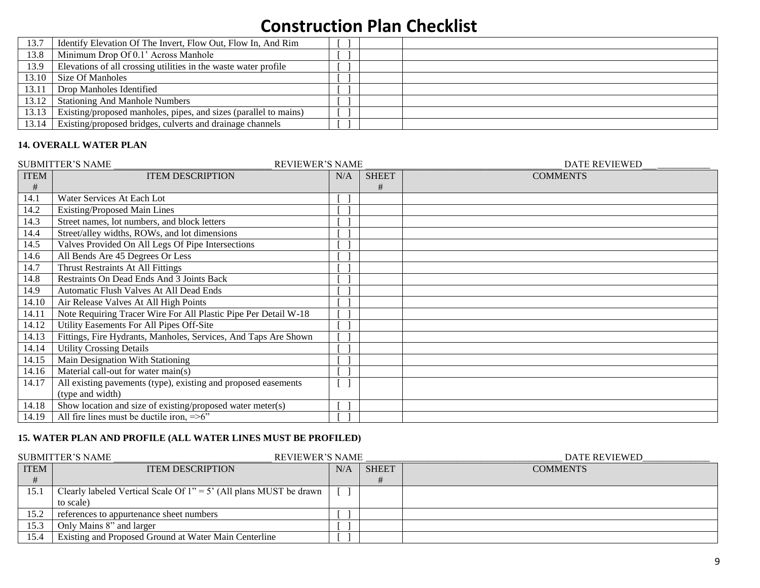| 13.7  | Identify Elevation Of The Invert, Flow Out, Flow In, And Rim     |  |
|-------|------------------------------------------------------------------|--|
| 13.8  | Minimum Drop Of 0.1' Across Manhole                              |  |
| 13.9  | Elevations of all crossing utilities in the waste water profile  |  |
| 13.10 | Size Of Manholes                                                 |  |
| 13.11 | Drop Manholes Identified                                         |  |
| 13.12 | <b>Stationing And Manhole Numbers</b>                            |  |
| 13.13 | Existing/proposed manholes, pipes, and sizes (parallel to mains) |  |
| 13.14 | Existing/proposed bridges, culverts and drainage channels        |  |

## **14. OVERALL WATER PLAN**

|             | <b>SUBMITTER'S NAME</b><br><b>REVIEWER'S NAME</b>               |              |              | <b>DATE REVIEWED</b> |
|-------------|-----------------------------------------------------------------|--------------|--------------|----------------------|
| <b>ITEM</b> | <b>ITEM DESCRIPTION</b>                                         | N/A          | <b>SHEET</b> | <b>COMMENTS</b>      |
| #           |                                                                 |              | #            |                      |
| 14.1        | Water Services At Each Lot                                      |              |              |                      |
| 14.2        | <b>Existing/Proposed Main Lines</b>                             |              |              |                      |
| 14.3        | Street names, lot numbers, and block letters                    |              |              |                      |
| 14.4        | Street/alley widths, ROWs, and lot dimensions                   |              |              |                      |
| 14.5        | Valves Provided On All Legs Of Pipe Intersections               |              |              |                      |
| 14.6        | All Bends Are 45 Degrees Or Less                                |              |              |                      |
| 14.7        | Thrust Restraints At All Fittings                               |              |              |                      |
| 14.8        | Restraints On Dead Ends And 3 Joints Back                       |              |              |                      |
| 14.9        | Automatic Flush Valves At All Dead Ends                         |              |              |                      |
| 14.10       | Air Release Valves At All High Points                           |              |              |                      |
| 14.11       | Note Requiring Tracer Wire For All Plastic Pipe Per Detail W-18 |              |              |                      |
| 14.12       | Utility Easements For All Pipes Off-Site                        |              |              |                      |
| 14.13       | Fittings, Fire Hydrants, Manholes, Services, And Taps Are Shown |              |              |                      |
| 14.14       | <b>Utility Crossing Details</b>                                 |              |              |                      |
| 14.15       | Main Designation With Stationing                                |              |              |                      |
| 14.16       | Material call-out for water main(s)                             |              |              |                      |
| 14.17       | All existing pavements (type), existing and proposed easements  | $\mathbf{I}$ |              |                      |
|             | (type and width)                                                |              |              |                      |
| 14.18       | Show location and size of existing/proposed water meter(s)      |              |              |                      |
| 14.19       | All fire lines must be ductile iron, $=>6$ "                    |              |              |                      |

### **15. WATER PLAN AND PROFILE (ALL WATER LINES MUST BE PROFILED)**

|             | SUBMITTER'S NAME<br>REVIEWER'S NAME                                  |     |              | <b>DATE REVIEWED</b> |
|-------------|----------------------------------------------------------------------|-----|--------------|----------------------|
| <b>ITEM</b> | <b>ITEM DESCRIPTION</b>                                              | N/A | <b>SHEET</b> | <b>COMMENTS</b>      |
|             |                                                                      |     |              |                      |
| 15.1        | Clearly labeled Vertical Scale Of $1" = 5'$ (All plans MUST be drawn |     |              |                      |
|             | to scale)                                                            |     |              |                      |
| 15.2        | references to appurtenance sheet numbers                             |     |              |                      |
| 15.3        | Only Mains 8" and larger                                             |     |              |                      |
| 15.4        | Existing and Proposed Ground at Water Main Centerline                |     |              |                      |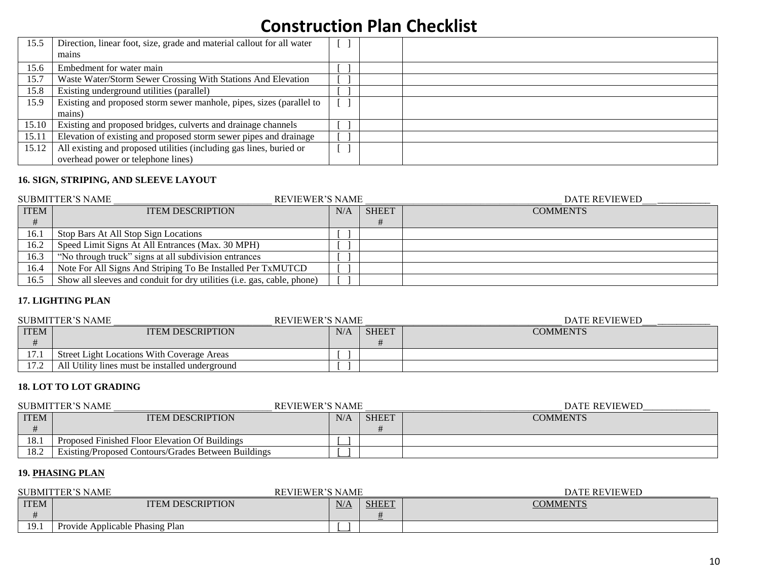| 15.5  | Direction, linear foot, size, grade and material callout for all water<br>mains |  |  |
|-------|---------------------------------------------------------------------------------|--|--|
| 15.6  | Embedment for water main                                                        |  |  |
| 15.7  | Waste Water/Storm Sewer Crossing With Stations And Elevation                    |  |  |
| 15.8  | Existing underground utilities (parallel)                                       |  |  |
| 15.9  | Existing and proposed storm sewer manhole, pipes, sizes (parallel to            |  |  |
|       | mains)                                                                          |  |  |
| 15.10 | Existing and proposed bridges, culverts and drainage channels                   |  |  |
| 15.11 | Elevation of existing and proposed storm sewer pipes and drainage               |  |  |
| 15.12 | All existing and proposed utilities (including gas lines, buried or             |  |  |
|       | overhead power or telephone lines)                                              |  |  |

### **16. SIGN, STRIPING, AND SLEEVE LAYOUT**

| <b>SUBMITTER'S NAME</b> |                                                                         | <b>REVIEWER'S NAME</b> |              | <b>DATE REVIEWED</b> |
|-------------------------|-------------------------------------------------------------------------|------------------------|--------------|----------------------|
| <b>ITEM</b>             | <b>ITEM DESCRIPTION</b>                                                 | N/A                    | <b>SHEET</b> | <b>COMMENTS</b>      |
|                         |                                                                         |                        |              |                      |
| 16.1                    | Stop Bars At All Stop Sign Locations                                    |                        |              |                      |
| 16.2                    | Speed Limit Signs At All Entrances (Max. 30 MPH)                        |                        |              |                      |
| 16.3                    | "No through truck" signs at all subdivision entrances                   |                        |              |                      |
| 16.4                    | Note For All Signs And Striping To Be Installed Per TxMUTCD             |                        |              |                      |
| 16.5                    | Show all sleeves and conduit for dry utilities (i.e. gas, cable, phone) |                        |              |                      |

#### **17. LIGHTING PLAN**

|             | SUBMITTER'S NAME                                | <b>REVIEWER'S NAME</b> |              | <b>DATE REVIEWED</b> |  |
|-------------|-------------------------------------------------|------------------------|--------------|----------------------|--|
| <b>ITEM</b> | <b>ITEM DESCRIPTION</b>                         | N/A                    | <b>SHEET</b> | <b>COMMENTS</b>      |  |
|             |                                                 |                        |              |                      |  |
| 17.1        | Street Light Locations With Coverage Areas      |                        |              |                      |  |
| 17.2        | All Utility lines must be installed underground |                        |              |                      |  |

### **18. LOT TO LOT GRADING**

|             | <b>REVIEWER'S NAME</b><br><b>SUBMITTER'S NAME</b>   |     |              | DATE REVIEWED   |
|-------------|-----------------------------------------------------|-----|--------------|-----------------|
| <b>ITEM</b> | <b>ITEM DESCRIPTION</b>                             | N/A | <b>SHEET</b> | <b>COMMENTS</b> |
|             |                                                     |     |              |                 |
| 18.1        | Proposed Finished Floor Elevation Of Buildings      |     |              |                 |
| 18.2        | Existing/Proposed Contours/Grades Between Buildings |     |              |                 |

### **19. PHASING PLAN**

| <b>SUBMITTER'S NAME</b> |                                 | <b>REVIEWER'S NAME</b> |              | <b>DATE REVIEWED</b> |
|-------------------------|---------------------------------|------------------------|--------------|----------------------|
| <b>ITEM</b>             | <b>ITEM DESCRIPTION</b>         | N/A                    | <b>SHEET</b> | <b>COMMENTS</b>      |
|                         |                                 |                        |              |                      |
| 19.1                    | Provide Applicable Phasing Plan |                        |              |                      |